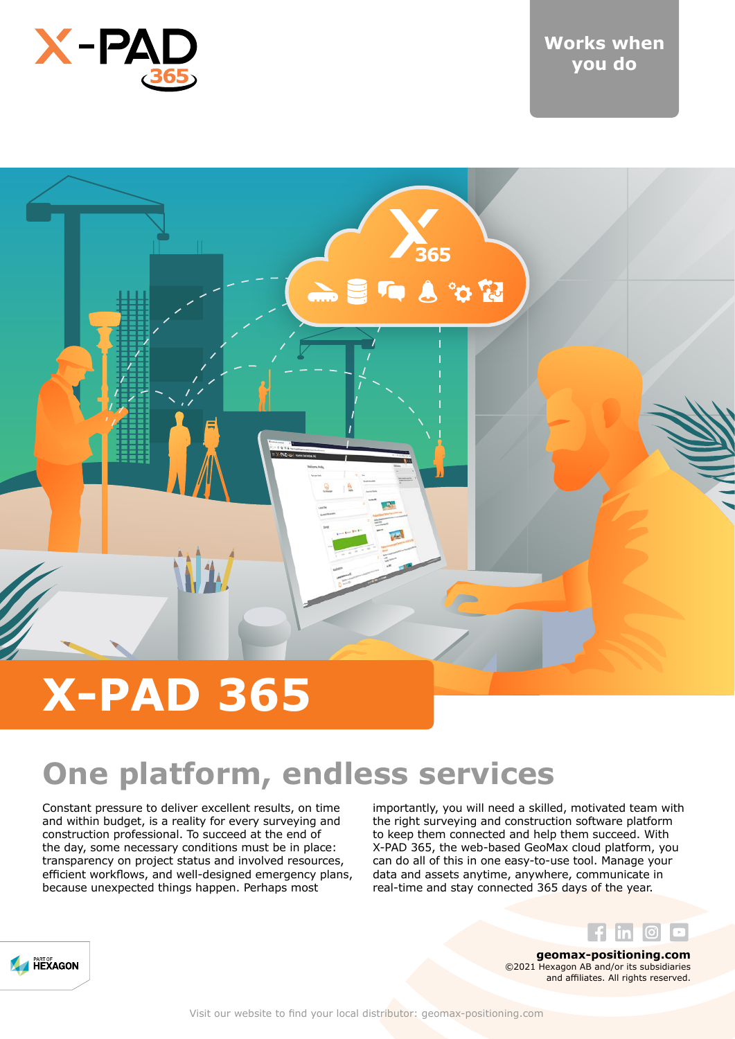



## **One platform, endless services**

Constant pressure to deliver excellent results, on time and within budget, is a reality for every surveying and construction professional. To succeed at the end of the day, some necessary conditions must be in place: transparency on project status and involved resources, efficient workflows, and well-designed emergency plans, because unexpected things happen. Perhaps most

importantly, you will need a skilled, motivated team with the right surveying and construction software platform to keep them connected and help them succeed. With X-PAD 365, the web-based GeoMax cloud platform, you can do all of this in one easy-to-use tool. Manage your data and assets anytime, anywhere, communicate in real-time and stay connected 365 days of the year.



**geomax-positioning.com** ©2021 Hexagon AB and/or its subsidiaries and affiliates. All rights reserved.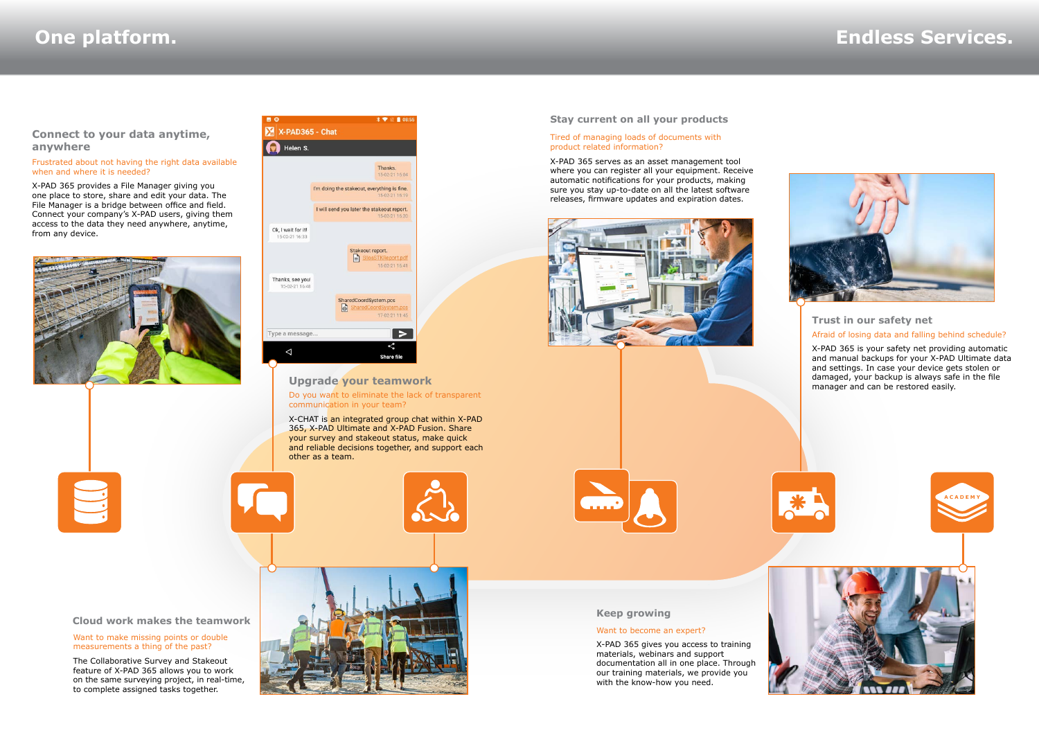### **Cloud work makes the teamwork**

### Want to make missing points or double measurements a thing of the past?

The Collaborative Survey and Stakeout feature of X-PAD 365 allows you to work on the same surveying project, in real-time, to complete assigned tasks together.

Do you want to eliminate the lack of transparent communication in your team?

 $X \rightarrow 1$  is a control

X-CHAT is an integrated group chat within X-PAD 365, X-PAD Ultimate and X-PAD Fusion. Share your survey and stakeout status, make quick and reliable decisions together, and support each other as a team.



### **Upgrade your teamwork**

### Tired of managing loads of documents with product related information?

X-PAD 365 serves as an asset management tool where you can register all your equipment. Receive automatic notifications for your products, making sure you stay up-to-date on all the latest software releases, firmware updates and expiration dates.





Want to become an expert?

X-PAD 365 gives you access to training materials, webinars and support



our training materials, we provide you

### **Stay current on all your products**

**Keep growing**

with the know-how you need.

## **One platform. Endless Services.**



### Afraid of losing data and falling behind schedule? **Trust in our safety net**

X-PAD 365 is your safety net providing automatic and manual backups for your X-PAD Ultimate data and settings. In case your device gets stolen or damaged, your backup is always safe in the file manager and can be restored easily.



### Frustrated about not having the right data available when and where it is needed?

X-PAD 365 provides a File Manager giving you one place to store, share and edit your data. The File Manager is a bridge between office and field. Connect your company's X-PAD users, giving them access to the data they need anywhere, anytime, from any device.



|                                      | Thanks.<br>15-02-21 16:04                                        |
|--------------------------------------|------------------------------------------------------------------|
|                                      | I'm doing the stakeout, everything is fine.<br>15-02-21 16:19    |
|                                      | I will send you later the stakeout report.<br>15-02-21 16:20     |
| Ok, I wait for it!<br>15-02-21 16:33 |                                                                  |
|                                      | Stakeout report.<br>SilosSTKReport.pdf<br>15-02-21 16:41         |
| Thanks, see you!<br>15-02-21 16:48   |                                                                  |
|                                      | SharedCoordSystem.pcs<br>SharedCoordSystem.pcs<br>17-02-21 11:45 |

**BO** 

### **Connect to your data anytime, anywhere**